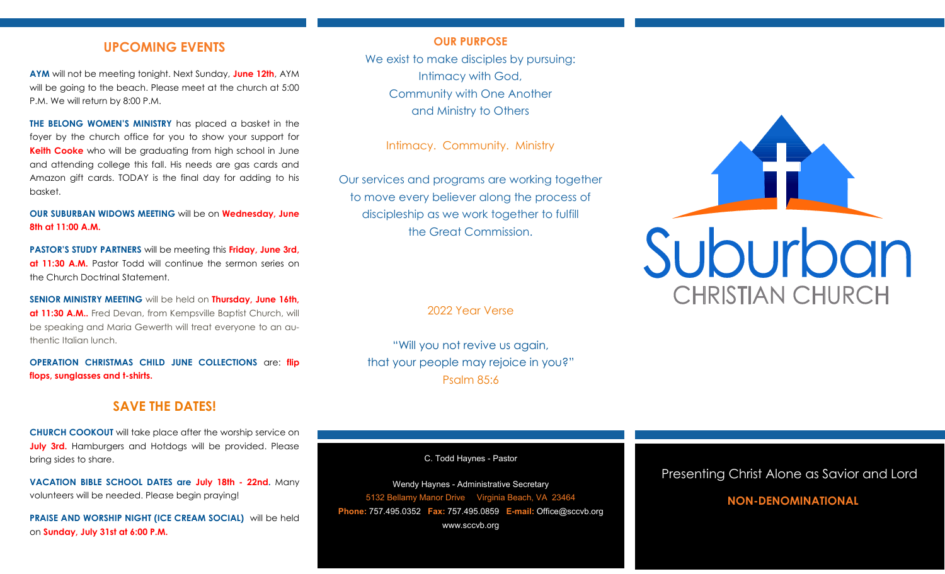# **UPCOMING EVENTS**

**AYM** will not be meeting tonight. Next Sunday, **June 12th**, AYM will be going to the beach. Please meet at the church at 5:00 P.M. We will return by 8:00 P.M.

**THE BELONG WOMEN'S MINISTRY** has placed a basket in the foyer by the church office for you to show your support for **Keith Cooke** who will be graduating from high school in June and attending college this fall. His needs are gas cards and Amazon gift cards. TODAY is the final day for adding to his basket.

**OUR SUBURBAN WIDOWS MEETING** will be on **Wednesday, June 8th at 11:00 A.M.**

**PASTOR'S STUDY PARTNERS** will be meeting this **Friday, June 3rd, at 11:30 A.M.** Pastor Todd will continue the sermon series on the Church Doctrinal Statement.

**SENIOR MINISTRY MEETING** will be held on **Thursday, June 16th, at 11:30 A.M..** Fred Devan, from Kempsville Baptist Church, will be speaking and Maria Gewerth will treat everyone to an authentic Italian lunch.

**OPERATION CHRISTMAS CHILD JUNE COLLECTIONS** are: **flip flops, sunglasses and t-shirts.**

# **SAVE THE DATES!**

**CHURCH COOKOUT** will take place after the worship service on **July 3rd.** Hamburgers and Hotdogs will be provided. Please bring sides to share.

**VACATION BIBLE SCHOOL DATES are July 18th - 22nd.** Many volunteers will be needed. Please begin praying!

**PRAISE AND WORSHIP NIGHT (ICE CREAM SOCIAL)** will be held on **Sunday, July 31st at 6:00 P.M.**

### **OUR PURPOSE**

We exist to make disciples by pursuing: Intimacy with God, Community with One Another and Ministry to Others

Intimacy. Community. Ministry

Our services and programs are working together to move every believer along the process of discipleship as we work together to fulfill the Great Commission.

2022 Year Verse

"Will you not revive us again, that your people may rejoice in you?" Psalm 85:6

C. Todd Haynes - Pastor

Wendy Haynes - Administrative Secretary 5132 Bellamy Manor Drive Virginia Beach, VA 23464 **Phone:** 757.495.0352 **Fax:** 757.495.0859 **E-mail:** Office@sccvb.org www.sccvb.org



# Presenting Christ Alone as Savior and Lord

# **NON-DENOMINATIONAL**